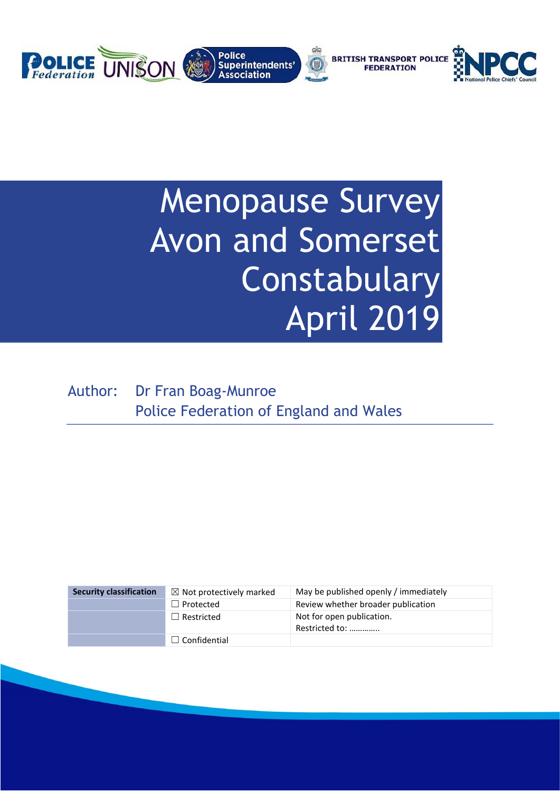

# Menopause Survey Avon and Somerset Constabulary April 2019

Author: Dr Fran Boag-Munroe Police Federation of England and Wales

| <b>Security classification</b> | $\boxtimes$ Not protectively marked | May be published openly / immediately       |
|--------------------------------|-------------------------------------|---------------------------------------------|
|                                | $\Box$ Protected                    | Review whether broader publication          |
|                                | $\Box$ Restricted                   | Not for open publication.<br>Restricted to: |
|                                | $\Box$ Confidential                 |                                             |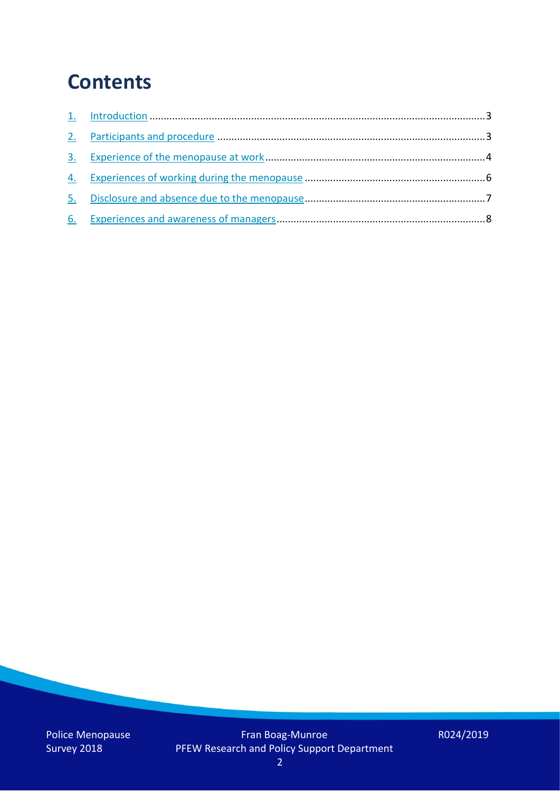### **Contents**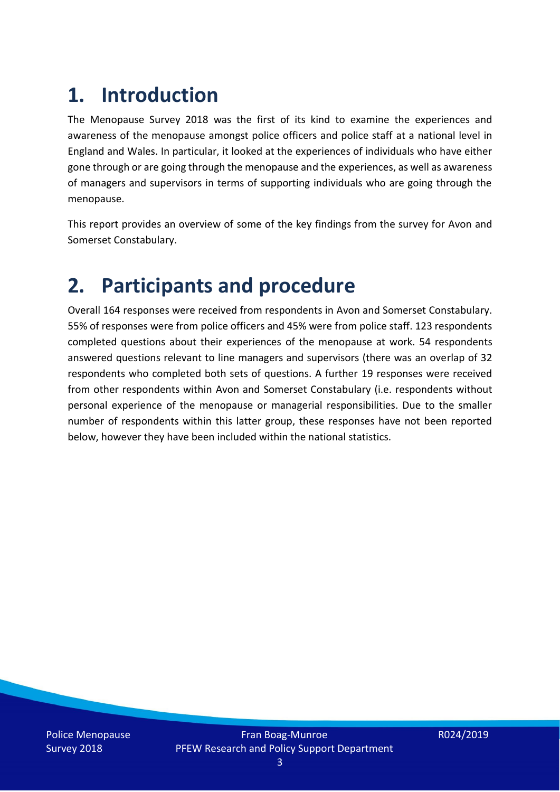## **1. Introduction**

The Menopause Survey 2018 was the first of its kind to examine the experiences and awareness of the menopause amongst police officers and police staff at a national level in England and Wales. In particular, it looked at the experiences of individuals who have either gone through or are going through the menopause and the experiences, as well as awareness of managers and supervisors in terms of supporting individuals who are going through the menopause.

This report provides an overview of some of the key findings from the survey for Avon and Somerset Constabulary.

### **2. Participants and procedure**

Overall 164 responses were received from respondents in Avon and Somerset Constabulary. 55% of responses were from police officers and 45% were from police staff. 123 respondents completed questions about their experiences of the menopause at work. 54 respondents answered questions relevant to line managers and supervisors (there was an overlap of 32 respondents who completed both sets of questions. A further 19 responses were received from other respondents within Avon and Somerset Constabulary (i.e. respondents without personal experience of the menopause or managerial responsibilities. Due to the smaller number of respondents within this latter group, these responses have not been reported below, however they have been included within the national statistics.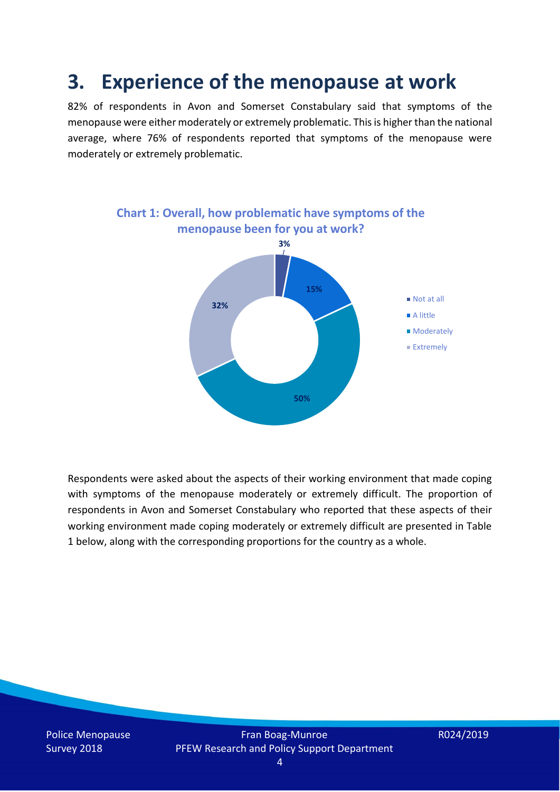### **3. Experience of the menopause at work**

82% of respondents in Avon and Somerset Constabulary said that symptoms of the menopause were either moderately or extremely problematic. This is higher than the national average, where 76% of respondents reported that symptoms of the menopause were moderately or extremely problematic.



Respondents were asked about the aspects of their working environment that made coping with symptoms of the menopause moderately or extremely difficult. The proportion of respondents in Avon and Somerset Constabulary who reported that these aspects of their working environment made coping moderately or extremely difficult are presented in Table 1 below, along with the corresponding proportions for the country as a whole.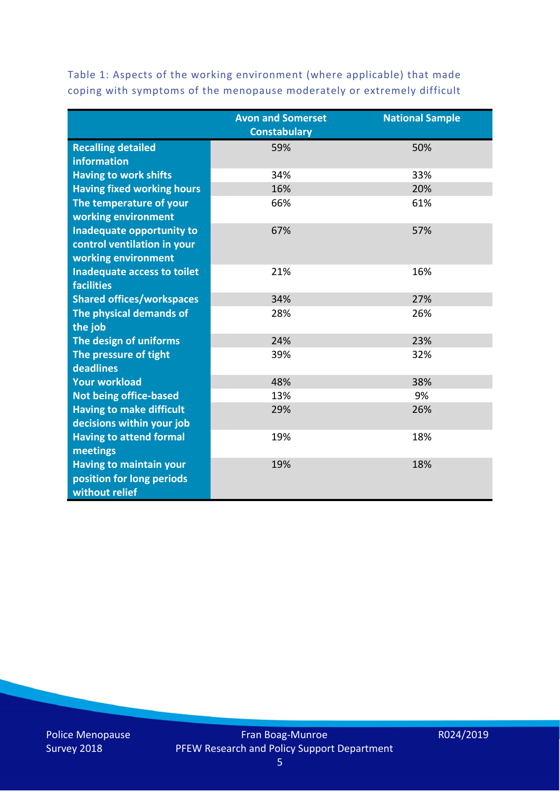|                                   | <b>Avon and Somerset</b><br><b>Constabulary</b> | <b>National Sample</b> |
|-----------------------------------|-------------------------------------------------|------------------------|
| <b>Recalling detailed</b>         | 59%                                             | 50%                    |
| <b>information</b>                |                                                 |                        |
| <b>Having to work shifts</b>      | 34%                                             | 33%                    |
| <b>Having fixed working hours</b> | 16%                                             | 20%                    |
| The temperature of your           | 66%                                             | 61%                    |
| working environment               |                                                 |                        |
| Inadequate opportunity to         | 67%                                             | 57%                    |
| control ventilation in your       |                                                 |                        |
| working environment               |                                                 |                        |
| Inadequate access to toilet       | 21%                                             | 16%                    |
| <b>facilities</b>                 |                                                 |                        |
| <b>Shared offices/workspaces</b>  | 34%                                             | 27%                    |
| The physical demands of           | 28%                                             | 26%                    |
| the job                           |                                                 |                        |
| The design of uniforms            | 24%                                             | 23%                    |
| The pressure of tight             | 39%                                             | 32%                    |
| deadlines                         |                                                 |                        |
| <b>Your workload</b>              | 48%                                             | 38%                    |
| <b>Not being office-based</b>     | 13%                                             | 9%                     |
| <b>Having to make difficult</b>   | 29%                                             | 26%                    |
| decisions within your job         |                                                 |                        |
| <b>Having to attend formal</b>    | 19%                                             | 18%                    |
| meetings                          |                                                 |                        |
| <b>Having to maintain your</b>    | 19%                                             | 18%                    |
| position for long periods         |                                                 |                        |
| without relief                    |                                                 |                        |

Table 1: Aspects of the working environment (where applicable) that made coping with symptoms of the menopause moderately or extremely difficult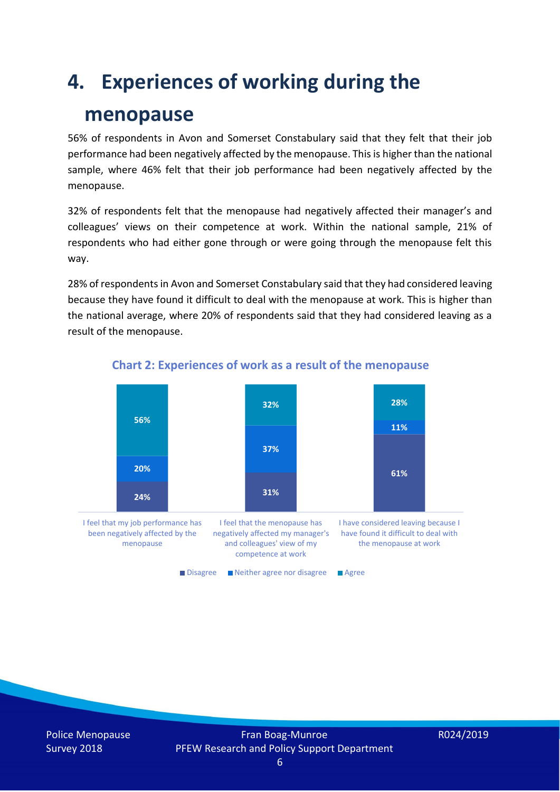## **4. Experiences of working during the**

### **menopause**

56% of respondents in Avon and Somerset Constabulary said that they felt that their job performance had been negatively affected by the menopause. This is higher than the national sample, where 46% felt that their job performance had been negatively affected by the menopause.

32% of respondents felt that the menopause had negatively affected their manager's and colleagues' views on their competence at work. Within the national sample, 21% of respondents who had either gone through or were going through the menopause felt this way.

28% of respondents in Avon and Somerset Constabulary said that they had considered leaving because they have found it difficult to deal with the menopause at work. This is higher than the national average, where 20% of respondents said that they had considered leaving as a result of the menopause.



#### **Chart 2: Experiences of work as a result of the menopause**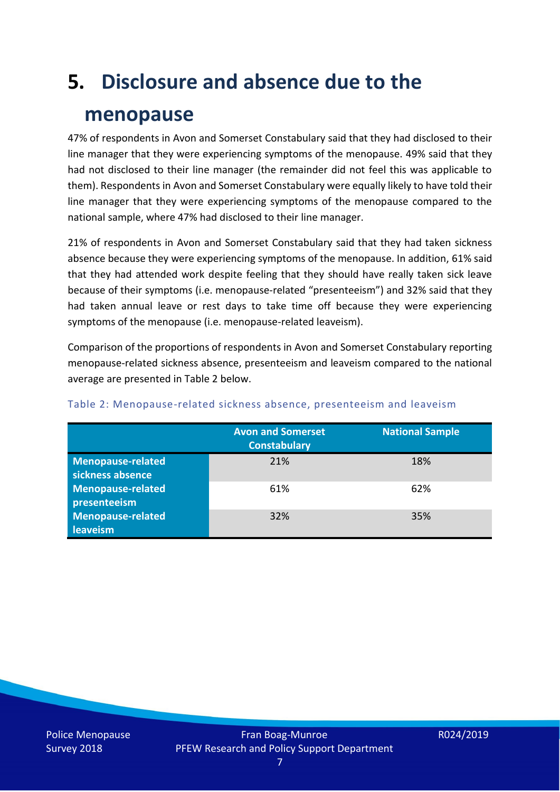# **5. Disclosure and absence due to the**

### **menopause**

47% of respondents in Avon and Somerset Constabulary said that they had disclosed to their line manager that they were experiencing symptoms of the menopause. 49% said that they had not disclosed to their line manager (the remainder did not feel this was applicable to them). Respondents in Avon and Somerset Constabulary were equally likely to have told their line manager that they were experiencing symptoms of the menopause compared to the national sample, where 47% had disclosed to their line manager.

21% of respondents in Avon and Somerset Constabulary said that they had taken sickness absence because they were experiencing symptoms of the menopause. In addition, 61% said that they had attended work despite feeling that they should have really taken sick leave because of their symptoms (i.e. menopause-related "presenteeism") and 32% said that they had taken annual leave or rest days to take time off because they were experiencing symptoms of the menopause (i.e. menopause-related leaveism).

Comparison of the proportions of respondents in Avon and Somerset Constabulary reporting menopause-related sickness absence, presenteeism and leaveism compared to the national average are presented in Table 2 below.

|                                       | <b>Avon and Somerset</b><br><b>Constabulary</b> | <b>National Sample</b> |
|---------------------------------------|-------------------------------------------------|------------------------|
| Menopause-related<br>sickness absence | 21%                                             | 18%                    |
| Menopause-related<br>presenteeism     | 61%                                             | 62%                    |
| Menopause-related<br>leaveism         | 32%                                             | 35%                    |

#### Table 2: Menopause-related sickness absence, presenteeism and leaveism